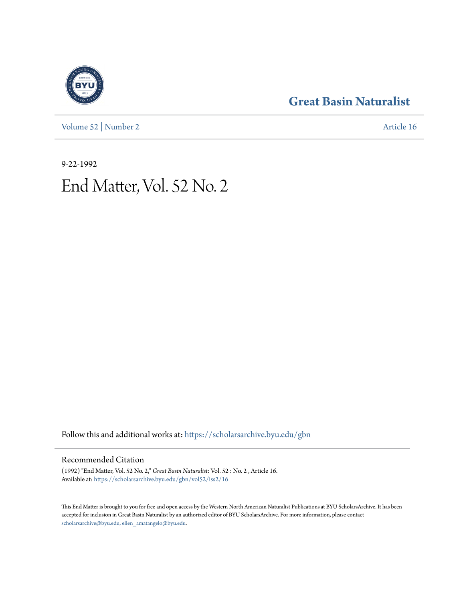[Volume 52](https://scholarsarchive.byu.edu/gbn/vol52?utm_source=scholarsarchive.byu.edu%2Fgbn%2Fvol52%2Fiss2%2F16&utm_medium=PDF&utm_campaign=PDFCoverPages) | [Number 2](https://scholarsarchive.byu.edu/gbn/vol52/iss2?utm_source=scholarsarchive.byu.edu%2Fgbn%2Fvol52%2Fiss2%2F16&utm_medium=PDF&utm_campaign=PDFCoverPages) [Article 16](https://scholarsarchive.byu.edu/gbn/vol52/iss2/16?utm_source=scholarsarchive.byu.edu%2Fgbn%2Fvol52%2Fiss2%2F16&utm_medium=PDF&utm_campaign=PDFCoverPages)

## **[Great Basin Naturalist](https://scholarsarchive.byu.edu/gbn?utm_source=scholarsarchive.byu.edu%2Fgbn%2Fvol52%2Fiss2%2F16&utm_medium=PDF&utm_campaign=PDFCoverPages)**

9-22-1992 End Matter, Vol. 52 No. 2

Follow this and additional works at: [https://scholarsarchive.byu.edu/gbn](https://scholarsarchive.byu.edu/gbn?utm_source=scholarsarchive.byu.edu%2Fgbn%2Fvol52%2Fiss2%2F16&utm_medium=PDF&utm_campaign=PDFCoverPages)

### Recommended Citation

(1992) "End Matter, Vol. 52 No. 2," *Great Basin Naturalist*: Vol. 52 : No. 2 , Article 16. Available at: [https://scholarsarchive.byu.edu/gbn/vol52/iss2/16](https://scholarsarchive.byu.edu/gbn/vol52/iss2/16?utm_source=scholarsarchive.byu.edu%2Fgbn%2Fvol52%2Fiss2%2F16&utm_medium=PDF&utm_campaign=PDFCoverPages)

This End Matter is brought to you for free and open access by the Western North American Naturalist Publications at BYU ScholarsArchive. It has been accepted for inclusion in Great Basin Naturalist by an authorized editor of BYU ScholarsArchive. For more information, please contact [scholarsarchive@byu.edu, ellen\\_amatangelo@byu.edu.](mailto:scholarsarchive@byu.edu,%20ellen_amatangelo@byu.edu)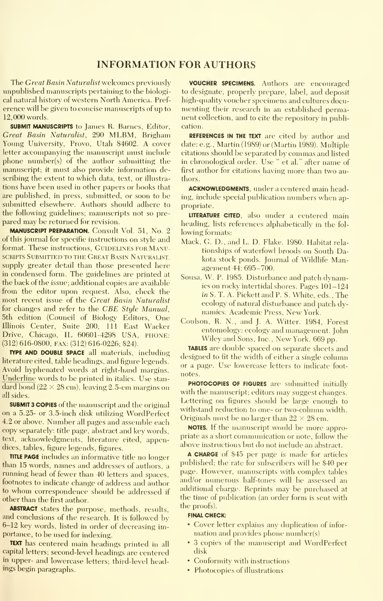#### INFORMATION FOR AUTHORS

The Great Basin Naturalist welcomes previously unpublished manuscripts pertaining to the biological natural history of western North America. Pref erence will be given to concise manuscripts of up to 12,000 words.

SUBMIT MANUSCRIPTS to James R. Barnes, Editor, Great Basin Naturalist, 290 MLBM, Brigham Young University, Provo, Utah 84602. A cover letter accompanying the manuscript must include phone number(s) of the author submitting the manuscript; it must also provide information describing the extent to which data, text, or illustra tions have been used in other papers or books that are published, in press, submitted, or soon to be submitted elsewhere. Authors should adhere to the following guidelines; manuscripts not so pre pared may be returned for revision.

MANUSCRIPT PREPARATION. Consult Vol. 51, No. 2 of this journal for specific instructions on style and format. These instructions, GUIDELINES FOR MANU-SCRIPTS SUBMITTED TO THE GREAT BASIN NATURALIST supply greater detail than those presented here in condensed form. The guidelines are printed at the back of the issue; additional copies are available from the editor upon request. Also, check the most recent issue of the Great Basin Naturalist for changes and refer to the CBE Style Manual, 5th edition (Council of Biology Editors, One Illinois Center, Suite 200, 111 East Wacker Drive, Chicago, IL 60601-4298 USA, PHONE; (312) 616-0800, FAX: (312) 616-0226; \$24).

TVPE AND DOUBLE SPACE all materials, including literature cited, table headings, and figure legends. Avoid hyphenated words at right-hand margins. Underline words to be printed in italics. Use stan dard bond  $(22 \times 28 \text{ cm})$ , leaving 2.5-cm margins on all sides.

SUBMIT 3 COPIES of the manuscript and the original on a 5.25- or 3.5-inch disk utilizing WordPerfect 4.2 or above. Number all pages and assemble each copy separately: title page, abstract and key words, text, acknowledgments, literature cited, appendices, tables, figure legends, figures.

TITLE PAGE includes an informative title no longer than 15 words, names and addresses of authors, a running head of fewer than 40 letters and spaces, footnotes to indicate change of address and author to whom correspondence should be addressed if other than the first author.

ABSTRACT states the purpose, methods, results, and conclusions of the research. It is followed by 6-12 key words, listed in order of decreasing importance, to be used for indexing.

TEXT has centered main headings printed in all capital letters; second-level headings are centered in upper- and lowercase letters; third-level headings begin paragraphs.

VOUCHER SPECIMENS. Authors are encouraged to designate, properly prepare, label, and deposit high-quality voucher specimens and cultures documenting their research in an established permanent collection, and to cite the repository in publication.

REFERENCES IN THE TEXT are cited by author and date: e.g., Martin (1989) or (Martin 1989). Multiple citations should be separated by commas and listed in chronological order. Use " et al." after name of first author for citations having more than two authors.

ACKNOWLEDGMENTS, under a centered main heading, include special publication numbers when appropriate.

LITERATURE CITED, also under a centered main heading, lists references alphabetically in the fol lowing formats:

- Mack, G. D., and L. D. Flake. 1980. Habitat rela tionships of waterfowl broods on South Dakota stock ponds. Journal of Wildlife Management 44: 695-700.
- Sousa, W. P. 1985. Disturbance and patch dynamics on rocky intertidal shores. Pages 101-124 in S. T. A. Pickett and P. S. White, eds.. The ecology of natural disturbance and patch dy namics. Academic Press, New York.
- Coulson, R. N., and J. A. Witter. 1984, Forest entomology: ecology and management. John Wiley and Sons, Inc., New York. <sup>669</sup> pp.

TABLES are double spaced on separate sheets and designed to fit the width of either a single column or a page. Use lowercase letters to indicate foot notes.

PHOTOCOPIES OF FIGURES are submitted initially with the manuscript; editors may suggest changes. Lettering on figures should be large enough to withstand reduction to one- or two-column width. Originals must be no larger than  $22 \times 28$  cm.

NOTES. If the manuscript would be more appropriate as a short communication or note, follow the above instructions but do not include an abstract.

A CHARGE of \$45 per page is made for articles published; the rate for subscribers will be \$40 per page. However, manuscripts with complex tables and/or numerous half-tones will be assessed an additional charge. Reprints may be purchased at the time of publication (an order form is sent with the proofs).

#### FINAL CHECK:

- Cover letter explains any duplication of infor mation and provides phone number(s)
- 3 copies of the manuscript and WordPerfect disk
- Conformity with instructions
- Photocopies of illustrations